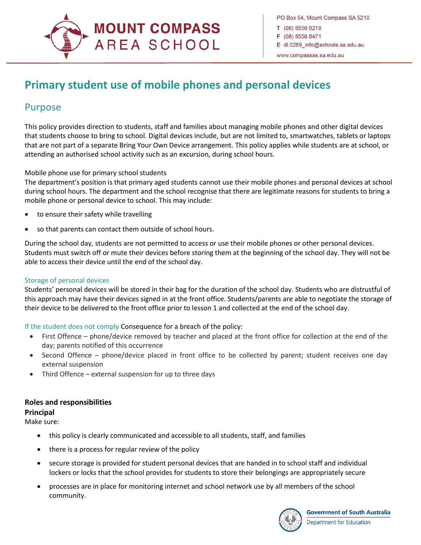# **MOUNT COMPASS AREA SCHOOL**

## **Primary student use of mobile phones and personal devices**

### Purpose

 $\overline{a}$ 

This policy provides direction to students, staff and families about managing mobile phones and other digital devices that students choose to bring to school. Digital devices include, but are not limited to, smartwatches, tablets or laptops that are not part of a separate Bring Your Own Device arrangement. This policy applies while students are at school, or attending an authorised school activity such as an excursion, during school hours.

#### Mobile phone use for primary school students

The department's position is that primary aged students cannot use their mobile phones and personal devices at school during school hours. The department and the school recognise that there are legitimate reasons for students to bring a mobile phone or personal device to school. This may include:

- to ensure their safety while travelling
- so that parents can contact them outside of school hours.

During the school day, students are not permitted to access or use their mobile phones or other personal devices. Students must switch off or mute their devices before storing them at the beginning of the school day. They will not be able to access their device until the end of the school day.

#### Storage of personal devices

Students' personal devices will be stored in their bag for the duration of the school day. Students who are distrustful of this approach may have their devices signed in at the front office. Students/parents are able to negotiate the storage of their device to be delivered to the front office prior to lesson 1 and collected at the end of the school day.

If the student does not comply Consequence for a breach of the policy:

- First Offence phone/device removed by teacher and placed at the front office for collection at the end of the day; parents notified of this occurrence
- Second Offence phone/device placed in front office to be collected by parent; student receives one day external suspension
- Third Offence external suspension for up to three days

#### **Roles and responsibilities**

#### **Principal**

Make sure:

- this policy is clearly communicated and accessible to all students, staff, and families
- there is a process for regular review of the policy
- secure storage is provided for student personal devices that are handed in to school staff and individual lockers or locks that the school provides for students to store their belongings are appropriately secure
- processes are in place for monitoring internet and school network use by all members of the school community.